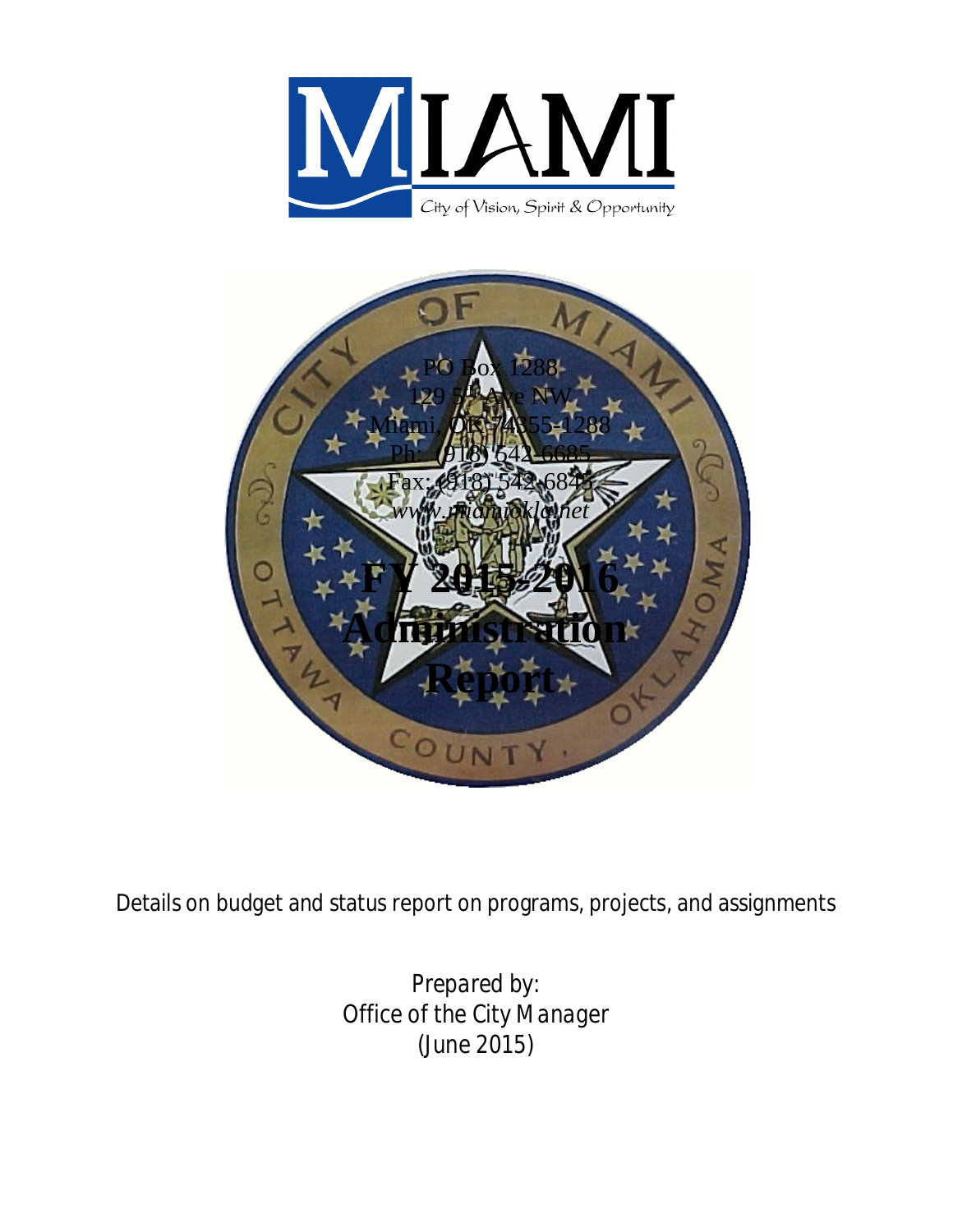



Details on budget and status report on programs, projects, and assignments

*Prepared by: Office of the City Manager (June 2015)*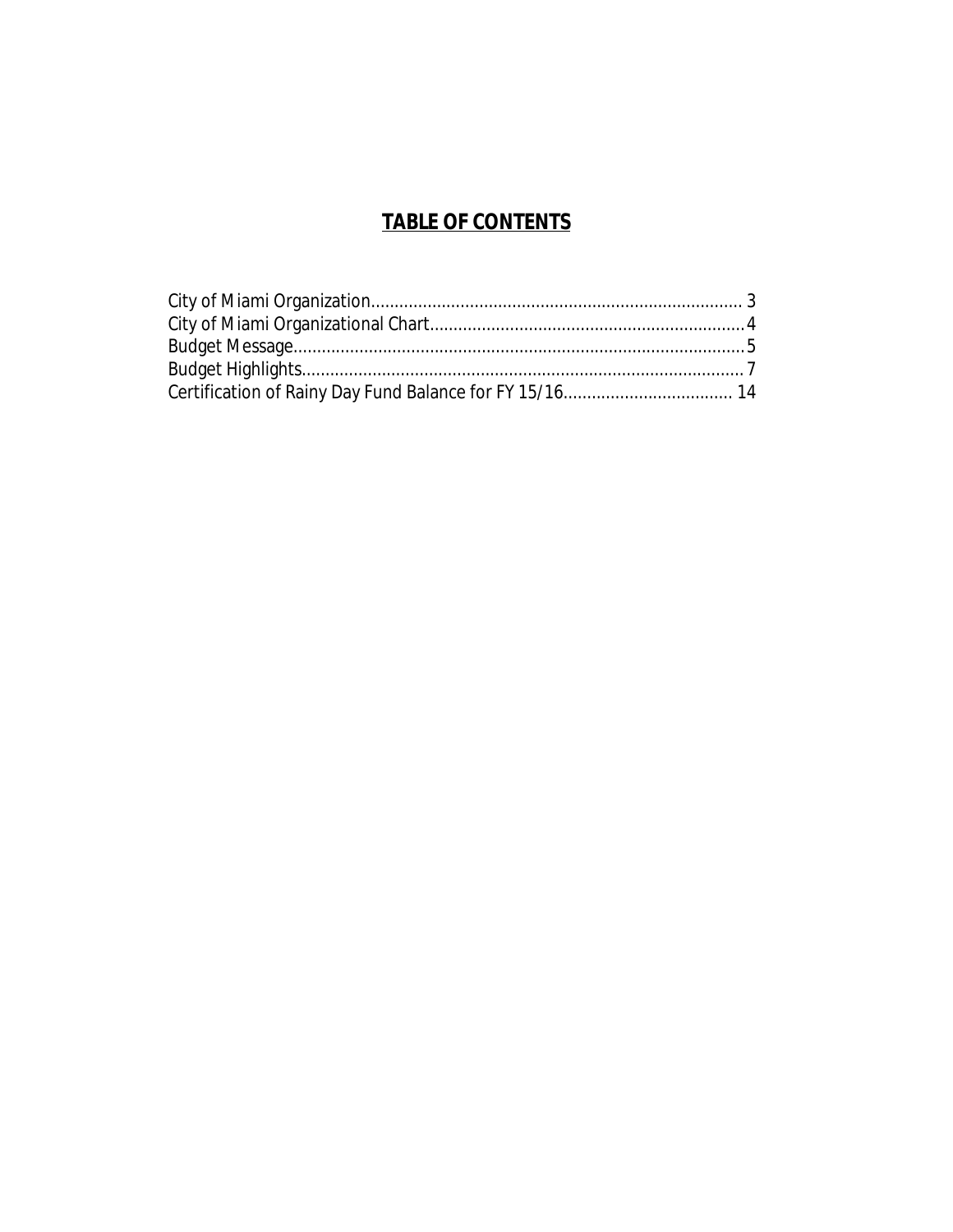## **TABLE OF CONTENTS**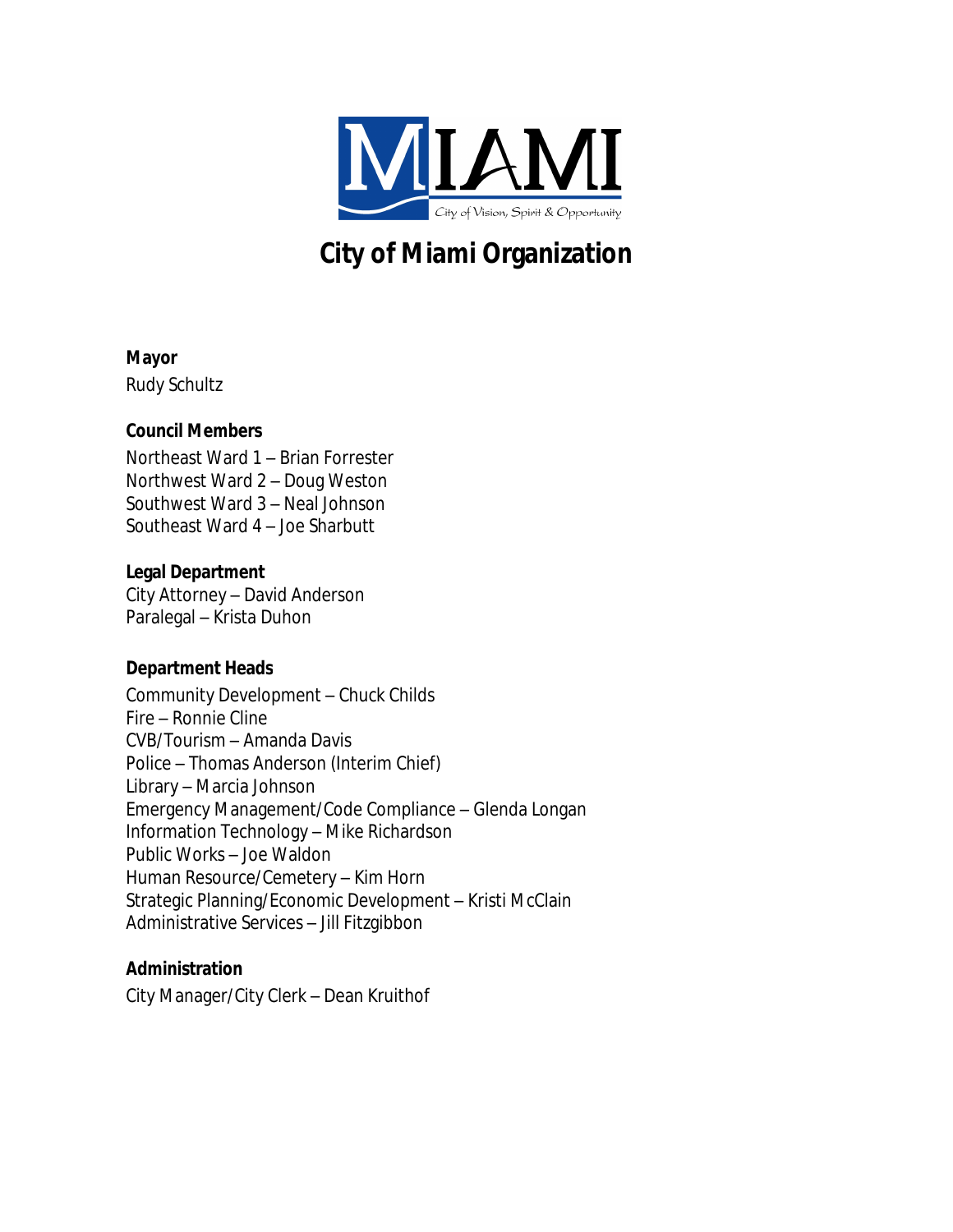

# <span id="page-2-0"></span>**City of Miami Organization**

#### **Mayor**

Rudy Schultz

### **Council Members**

Northeast Ward 1 – Brian Forrester Northwest Ward 2 – Doug Weston Southwest Ward 3 – Neal Johnson Southeast Ward 4 – Joe Sharbutt

### **Legal Department**

City Attorney – David Anderson Paralegal – Krista Duhon

## **Department Heads**

Community Development – Chuck Childs Fire – Ronnie Cline CVB/Tourism – Amanda Davis Police – Thomas Anderson (Interim Chief) Library – Marcia Johnson Emergency Management/Code Compliance – Glenda Longan Information Technology – Mike Richardson Public Works – Joe Waldon Human Resource/Cemetery – Kim Horn Strategic Planning/Economic Development – Kristi McClain Administrative Services – Jill Fitzgibbon

## **Administration**

City Manager/City Clerk – Dean Kruithof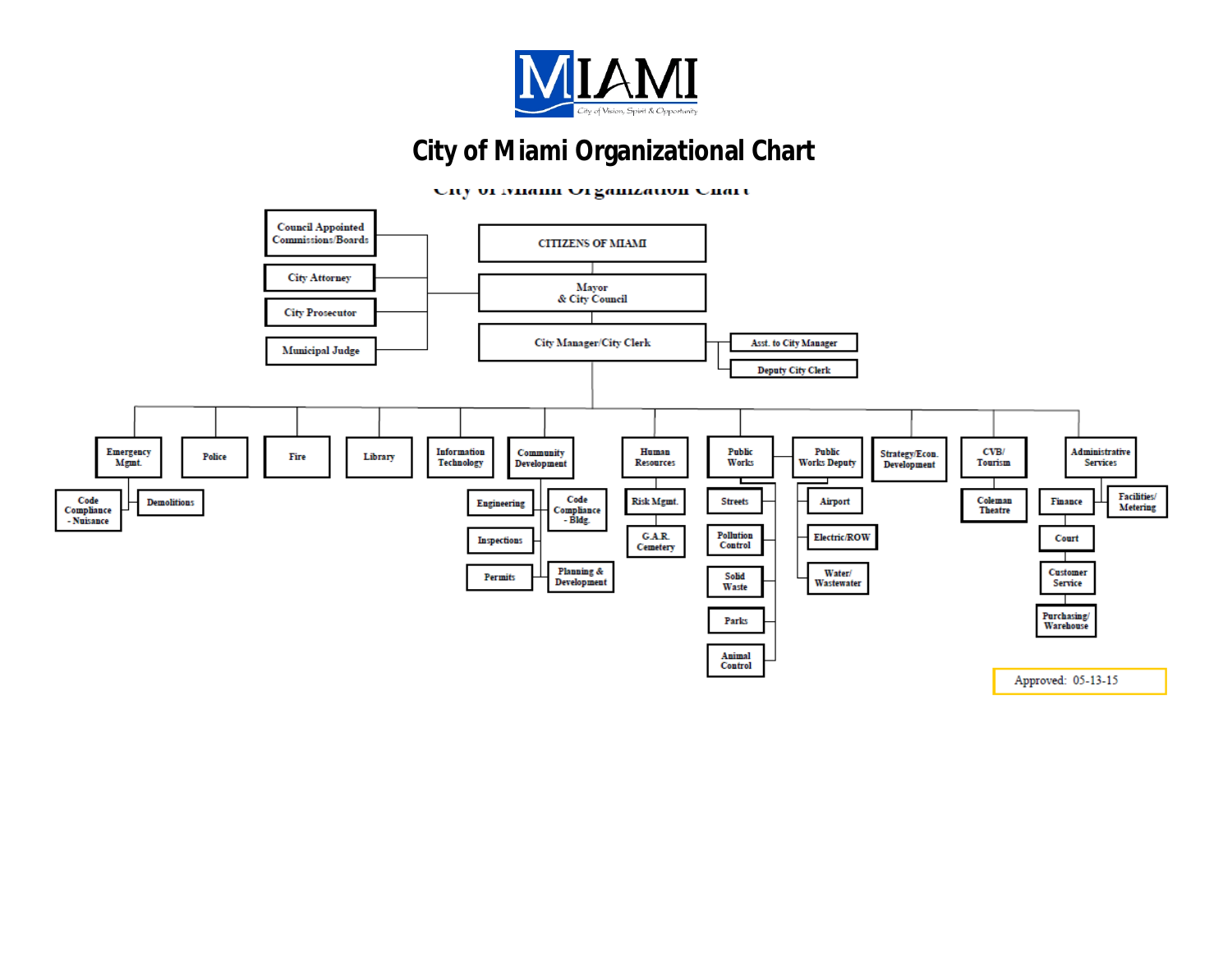

## **City of Miami Organizational Chart**

<span id="page-3-0"></span>Uny of miann Organization Unart

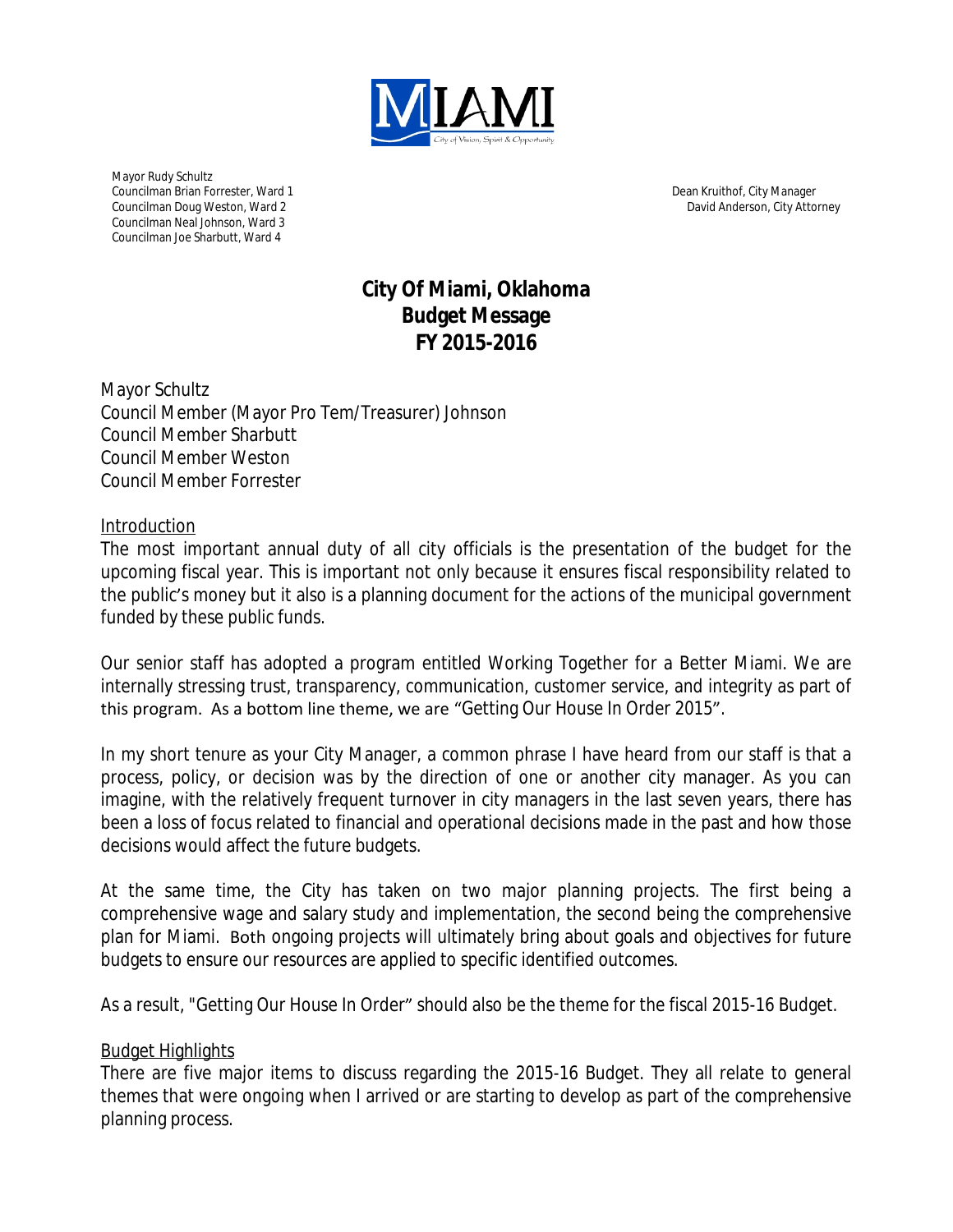

Mayor Rudy Schultz Councilman Brian Forrester, Ward 1 Councilman Doug Weston, Ward 2 Councilman Neal Johnson, Ward 3 Councilman Joe Sharbutt, Ward 4

Dean Kruithof, City Manager David Anderson, City Attorney

## <span id="page-4-0"></span>**City Of Miami, Oklahoma Budget Message FY 2015-2016**

Mayor Schultz Council Member (Mayor Pro Tem/Treasurer) Johnson Council Member Sharbutt Council Member Weston Council Member Forrester

#### Introduction

The most important annual duty of all city officials is the presentation of the budget for the upcoming fiscal year. This is important not only because it ensures fiscal responsibility related to the public's money but it also is a planning document for the actions of the municipal government funded by these public funds.

Our senior staff has adopted a program entitled Working Together for a Better Miami. We are internally stressing trust, transparency, communication, customer service, and integrity as part of this program. As a bottom line theme, we are "Getting Our House In Order 2015".

In my short tenure as your City Manager, a common phrase I have heard from our staff is that a process, policy, or decision was by the direction of one or another city manager. As you can imagine, with the relatively frequent turnover in city managers in the last seven years, there has been a loss of focus related to financial and operational decisions made in the past and how those decisions would affect the future budgets.

At the same time, the City has taken on two major planning projects. The first being a comprehensive wage and salary study and implementation, the second being the comprehensive plan for Miami. Both ongoing projects will ultimately bring about goals and objectives for future budgets to ensure our resources are applied to specific identified outcomes.

As a result, "Getting Our House In Order" should also be the theme for the fiscal 2015-16 Budget.

#### Budget Highlights

There are five major items to discuss regarding the 2015-16 Budget. They all relate to general themes that were ongoing when I arrived or are starting to develop as part of the comprehensive planning process.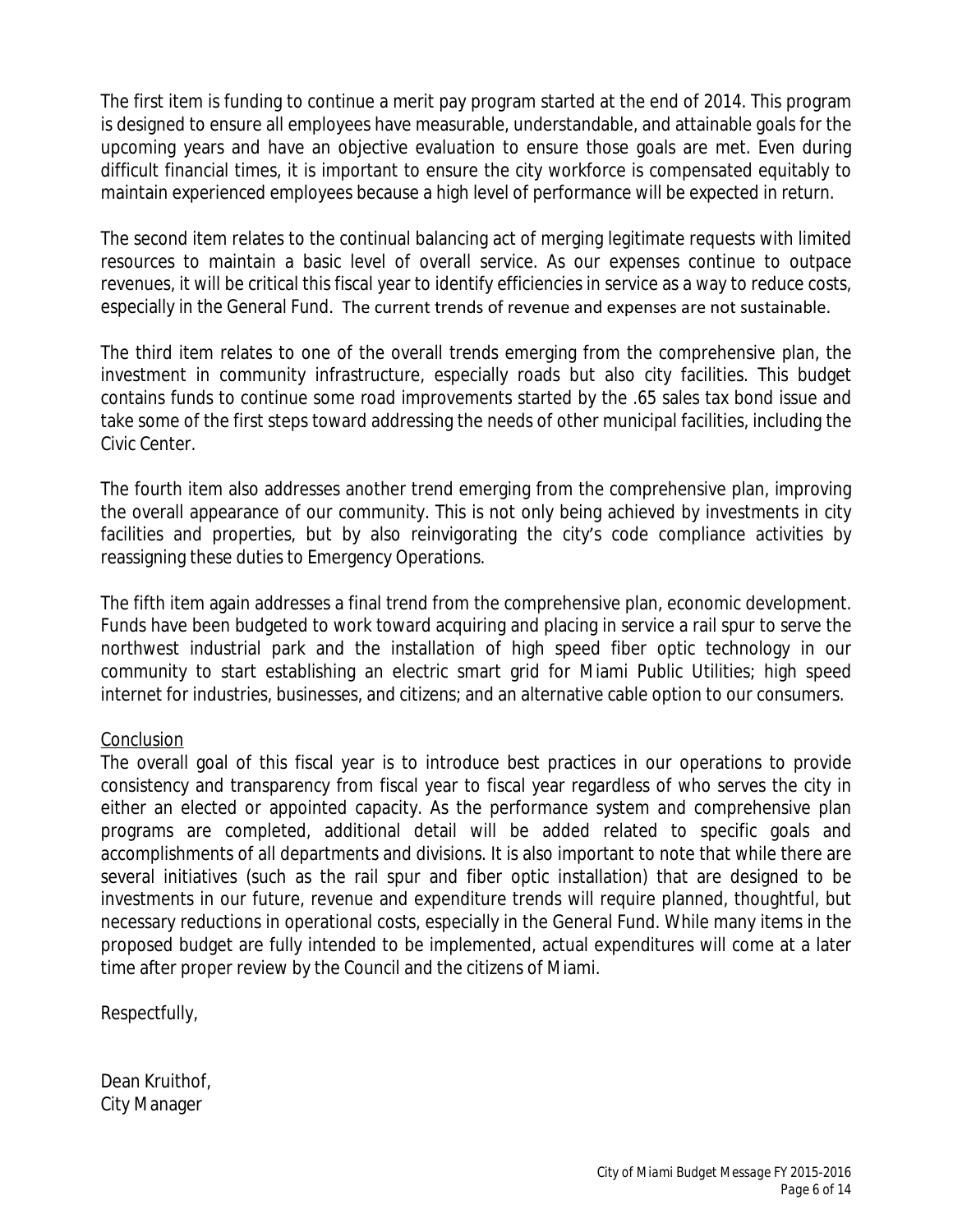The first item is funding to continue a merit pay program started at the end of 2014. This program is designed to ensure all employees have measurable, understandable, and attainable goals for the upcoming years and have an objective evaluation to ensure those goals are met. Even during difficult financial times, it is important to ensure the city workforce is compensated equitably to maintain experienced employees because a high level of performance will be expected in return.

The second item relates to the continual balancing act of merging legitimate requests with limited resources to maintain a basic level of overall service. As our expenses continue to outpace revenues, it will be critical this fiscal year to identify efficiencies in service as a way to reduce costs, especially in the General Fund. The current trends of revenue and expenses are not sustainable.

The third item relates to one of the overall trends emerging from the comprehensive plan, the investment in community infrastructure, especially roads but also city facilities. This budget contains funds to continue some road improvements started by the .65 sales tax bond issue and take some of the first steps toward addressing the needs of other municipal facilities, including the Civic Center.

The fourth item also addresses another trend emerging from the comprehensive plan, improving the overall appearance of our community. This is not only being achieved by investments in city facilities and properties, but by also reinvigorating the city's code compliance activities by reassigning these duties to Emergency Operations.

The fifth item again addresses a final trend from the comprehensive plan, economic development. Funds have been budgeted to work toward acquiring and placing in service a rail spur to serve the northwest industrial park and the installation of high speed fiber optic technology in our community to start establishing an electric smart grid for Miami Public Utilities; high speed internet for industries, businesses, and citizens; and an alternative cable option to our consumers.

### Conclusion

The overall goal of this fiscal year is to introduce best practices in our operations to provide consistency and transparency from fiscal year to fiscal year regardless of who serves the city in either an elected or appointed capacity. As the performance system and comprehensive plan programs are completed, additional detail will be added related to specific goals and accomplishments of all departments and divisions. It is also important to note that while there are several initiatives (such as the rail spur and fiber optic installation) that are designed to be investments in our future, revenue and expenditure trends will require planned, thoughtful, but necessary reductions in operational costs, especially in the General Fund. While many items in the proposed budget are fully intended to be implemented, actual expenditures will come at a later time after proper review by the Council and the citizens of Miami.

Respectfully,

Dean Kruithof, City Manager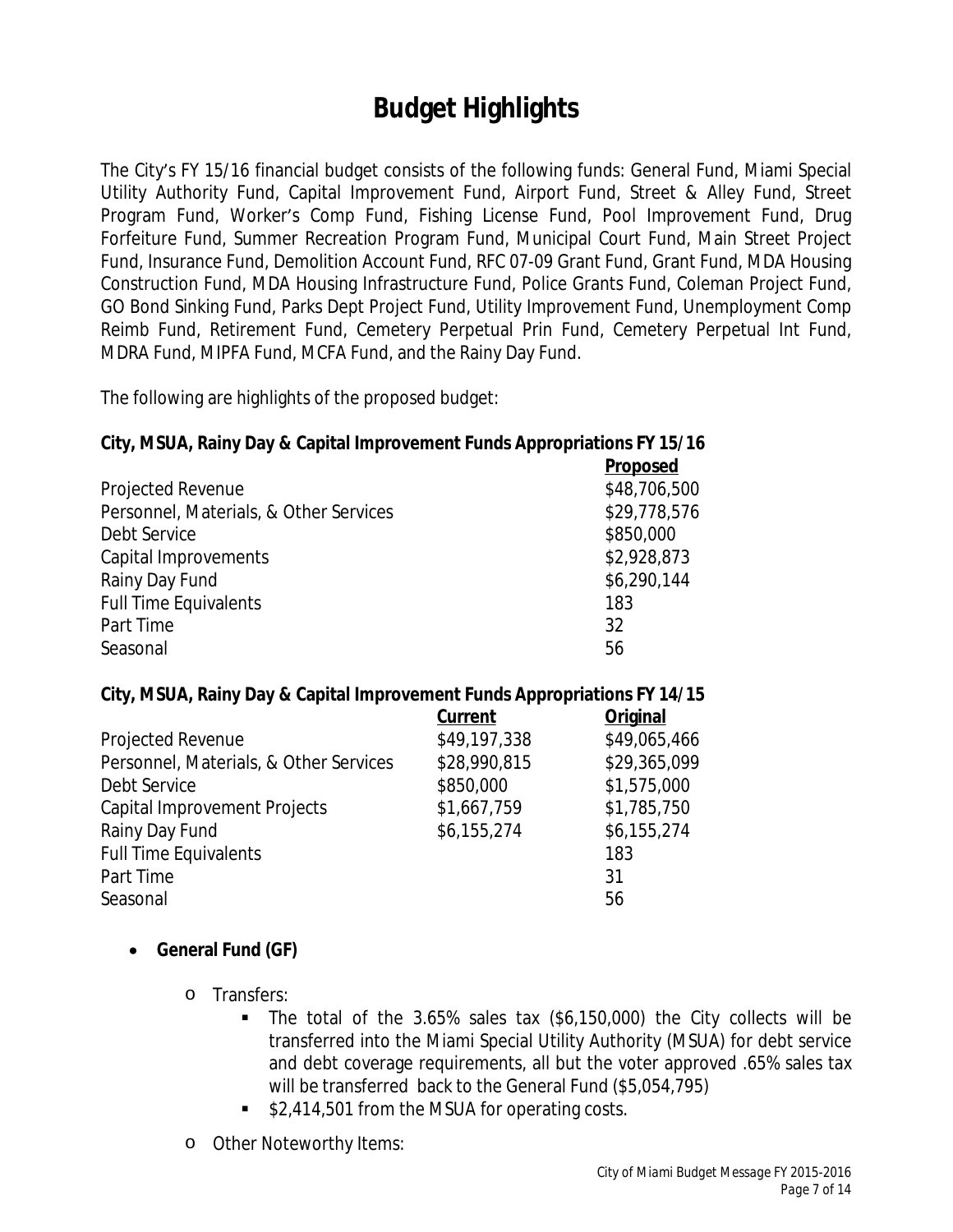# <span id="page-6-0"></span>**Budget Highlights**

The City's FY 15/16 financial budget consists of the following funds: General Fund, Miami Special Utility Authority Fund, Capital Improvement Fund, Airport Fund, Street & Alley Fund, Street Program Fund, Worker's Comp Fund, Fishing License Fund, Pool Improvement Fund, Drug Forfeiture Fund, Summer Recreation Program Fund, Municipal Court Fund, Main Street Project Fund, Insurance Fund, Demolition Account Fund, RFC 07-09 Grant Fund, Grant Fund, MDA Housing Construction Fund, MDA Housing Infrastructure Fund, Police Grants Fund, Coleman Project Fund, GO Bond Sinking Fund, Parks Dept Project Fund, Utility Improvement Fund, Unemployment Comp Reimb Fund, Retirement Fund, Cemetery Perpetual Prin Fund, Cemetery Perpetual Int Fund, MDRA Fund, MIPFA Fund, MCFA Fund, and the Rainy Day Fund.

The following are highlights of the proposed budget:

#### **City, MSUA, Rainy Day & Capital Improvement Funds Appropriations FY 15/16**

|                                        | <b>Proposed</b> |
|----------------------------------------|-----------------|
| Projected Revenue                      | \$48,706,500    |
| Personnel, Materials, & Other Services | \$29,778,576    |
| Debt Service                           | \$850,000       |
| Capital Improvements                   | \$2,928,873     |
| Rainy Day Fund                         | \$6,290,144     |
| <b>Full Time Equivalents</b>           | 183             |
| Part Time                              | 32              |
| Seasonal                               | 56              |

#### **City, MSUA, Rainy Day & Capital Improvement Funds Appropriations FY 14/15**

|                                        | Current      | <b>Original</b> |
|----------------------------------------|--------------|-----------------|
| Projected Revenue                      | \$49,197,338 | \$49,065,466    |
| Personnel, Materials, & Other Services | \$28,990,815 | \$29,365,099    |
| Debt Service                           | \$850,000    | \$1,575,000     |
| <b>Capital Improvement Projects</b>    | \$1,667,759  | \$1,785,750     |
| Rainy Day Fund                         | \$6,155,274  | \$6,155,274     |
| <b>Full Time Equivalents</b>           |              | 183             |
| Part Time                              |              | 31              |
| Seasonal                               |              | 56              |
|                                        |              |                 |

#### **General Fund (GF)**

- o Transfers:
	- The total of the 3.65% sales tax (\$6,150,000) the City collects will be transferred into the Miami Special Utility Authority (MSUA) for debt service and debt coverage requirements, all but the voter approved .65% sales tax will be transferred back to the General Fund (\$5,054,795)
	- \$2,414,501 from the MSUA for operating costs.
- o Other Noteworthy Items: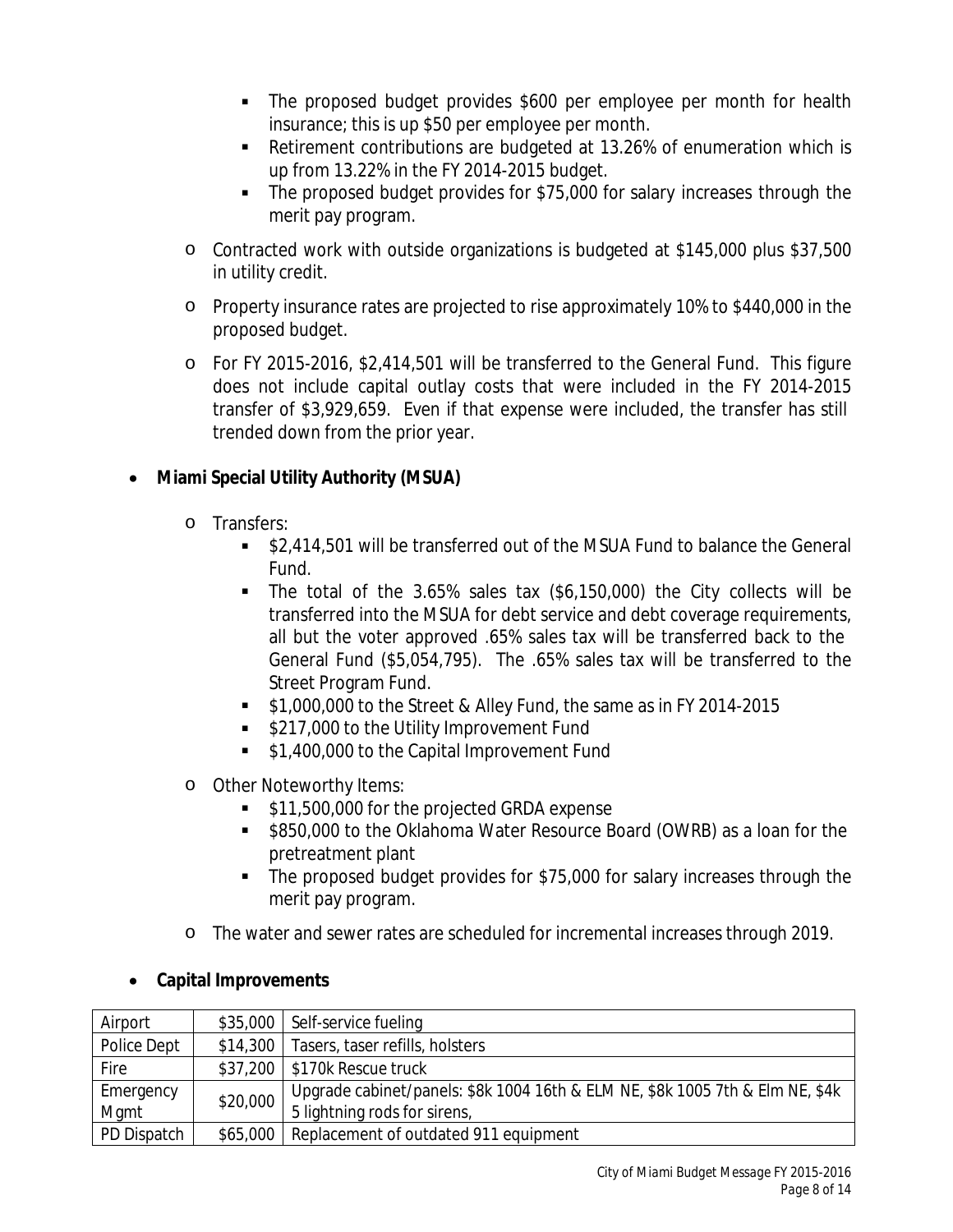- The proposed budget provides \$600 per employee per month for health insurance; this is up \$50 per employee per month.
- Retirement contributions are budgeted at 13.26% of enumeration which is up from 13.22% in the FY 2014-2015 budget.
- The proposed budget provides for \$75,000 for salary increases through the merit pay program.
- o Contracted work with outside organizations is budgeted at \$145,000 plus \$37,500 in utility credit.
- o Property insurance rates are projected to rise approximately 10% to \$440,000 in the proposed budget.
- o For FY 2015-2016, \$2,414,501 will be transferred to the General Fund. This figure does not include capital outlay costs that were included in the FY 2014-2015 transfer of \$3,929,659. Even if that expense were included, the transfer has still trended down from the prior year.

## **Miami Special Utility Authority (MSUA)**

- o Transfers:
	- \$2,414,501 will be transferred out of the MSUA Fund to balance the General Fund.
	- The total of the  $3.65\%$  sales tax  $(\$6,150,000)$  the City collects will be transferred into the MSUA for debt service and debt coverage requirements, all but the voter approved .65% sales tax will be transferred back to the General Fund (\$5,054,795). The .65% sales tax will be transferred to the Street Program Fund.
	- \$1,000,000 to the Street & Alley Fund, the same as in FY 2014-2015
	- **S217,000 to the Utility Improvement Fund**
	- **51,400,000 to the Capital Improvement Fund**
- o Other Noteworthy Items:
	- **S11,500,000 for the projected GRDA expense**
	- **5850,000 to the Oklahoma Water Resource Board (OWRB) as a loan for the** pretreatment plant
	- The proposed budget provides for \$75,000 for salary increases through the merit pay program.
- o The water and sewer rates are scheduled for incremental increases through 2019.

| Airport     |          | \$35,000   Self-service fueling                                               |
|-------------|----------|-------------------------------------------------------------------------------|
| Police Dept |          | \$14,300   Tasers, taser refills, holsters                                    |
| Fire        |          | $$37,200$   \$170k Rescue truck                                               |
| Emergency   | \$20,000 | Upgrade cabinet/panels: \$8k 1004 16th & ELM NE, \$8k 1005 7th & Elm NE, \$4k |
| Mgmt        |          | 5 lightning rods for sirens,                                                  |
| PD Dispatch | \$65,000 | Replacement of outdated 911 equipment                                         |

### **Capital Improvements**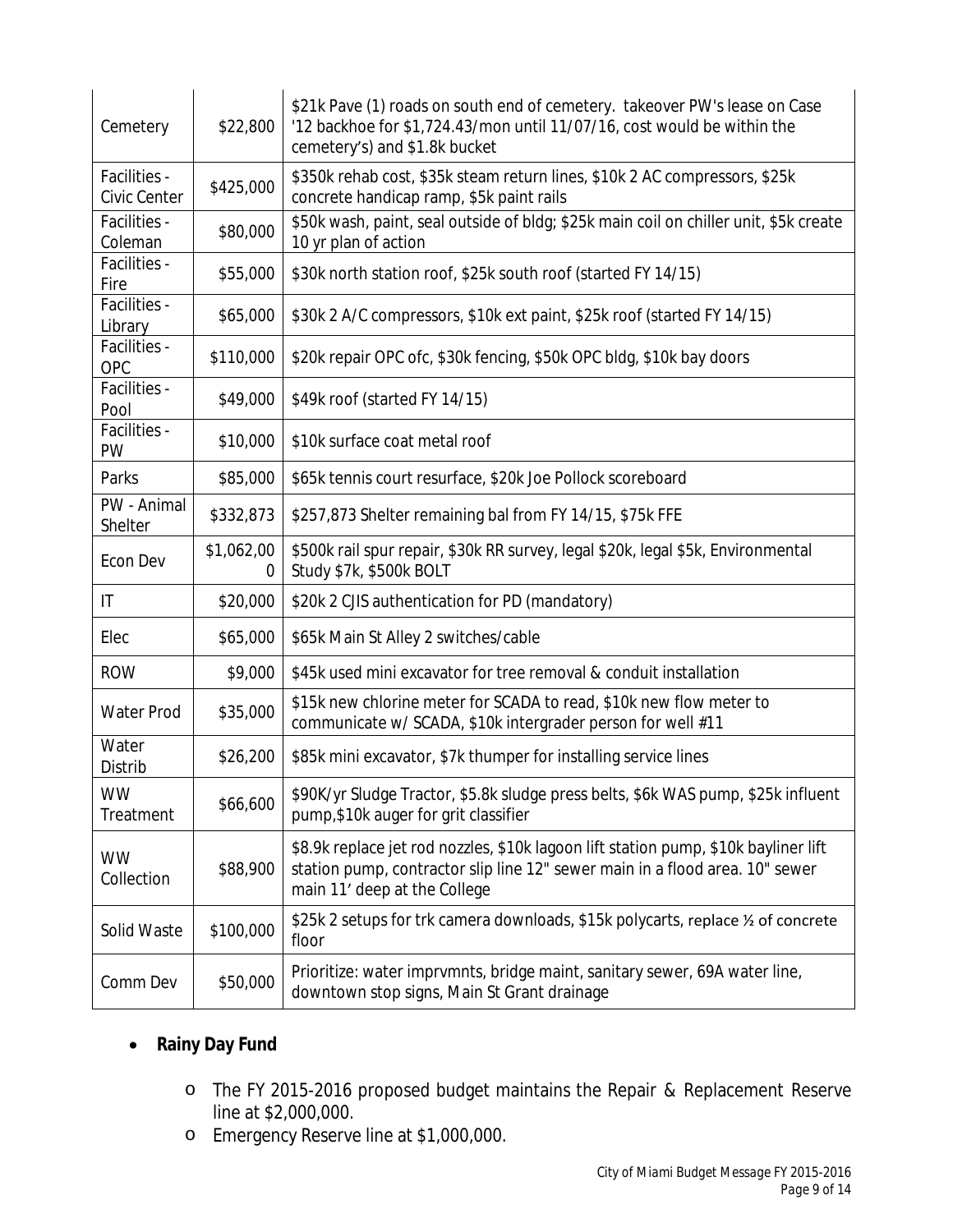| Cemetery                     | \$22,800        | \$21k Pave (1) roads on south end of cemetery. takeover PW's lease on Case<br>'12 backhoe for \$1,724.43/mon until 11/07/16, cost would be within the<br>cemetery's) and \$1.8k bucket              |
|------------------------------|-----------------|-----------------------------------------------------------------------------------------------------------------------------------------------------------------------------------------------------|
| Facilities -<br>Civic Center | \$425,000       | \$350k rehab cost, \$35k steam return lines, \$10k 2 AC compressors, \$25k<br>concrete handicap ramp, \$5k paint rails                                                                              |
| Facilities -<br>Coleman      | \$80,000        | \$50k wash, paint, seal outside of bldg; \$25k main coil on chiller unit, \$5k create<br>10 yr plan of action                                                                                       |
| Facilities -<br>Fire         | \$55,000        | \$30k north station roof, \$25k south roof (started FY 14/15)                                                                                                                                       |
| Facilities -<br>Library      | \$65,000        | \$30k 2 A/C compressors, \$10k ext paint, \$25k roof (started FY 14/15)                                                                                                                             |
| Facilities -<br>OPC          | \$110,000       | \$20k repair OPC ofc, \$30k fencing, \$50k OPC bldg, \$10k bay doors                                                                                                                                |
| Facilities -<br>Pool         | \$49,000        | \$49k roof (started FY 14/15)                                                                                                                                                                       |
| Facilities -<br><b>PW</b>    | \$10,000        | \$10k surface coat metal roof                                                                                                                                                                       |
| Parks                        | \$85,000        | \$65k tennis court resurface, \$20k Joe Pollock scoreboard                                                                                                                                          |
| PW - Animal<br>Shelter       | \$332,873       | \$257,873 Shelter remaining bal from FY 14/15, \$75k FFE                                                                                                                                            |
| Econ Dev                     | \$1,062,00<br>0 | \$500k rail spur repair, \$30k RR survey, legal \$20k, legal \$5k, Environmental<br>Study \$7k, \$500k BOLT                                                                                         |
| $\mathsf{I}\mathsf{T}$       | \$20,000        | \$20k 2 CJIS authentication for PD (mandatory)                                                                                                                                                      |
| Elec                         | \$65,000        | \$65k Main St Alley 2 switches/cable                                                                                                                                                                |
| <b>ROW</b>                   | \$9,000         | \$45k used mini excavator for tree removal & conduit installation                                                                                                                                   |
| Water Prod                   | \$35,000        | \$15k new chlorine meter for SCADA to read, \$10k new flow meter to<br>communicate w/ SCADA, \$10k intergrader person for well #11                                                                  |
| Water<br>Distrib             | \$26,200        | \$85k mini excavator, \$7k thumper for installing service lines                                                                                                                                     |
| <b>WW</b><br>Treatment       | \$66,600        | \$90K/yr Sludge Tractor, \$5.8k sludge press belts, \$6k WAS pump, \$25k influent<br>pump,\$10k auger for grit classifier                                                                           |
| <b>WW</b><br>Collection      | \$88,900        | \$8.9k replace jet rod nozzles, \$10k lagoon lift station pump, \$10k bayliner lift<br>station pump, contractor slip line 12" sewer main in a flood area. 10" sewer<br>main 11' deep at the College |
| Solid Waste                  | \$100,000       | \$25k 2 setups for trk camera downloads, \$15k polycarts, replace 1/2 of concrete<br>floor                                                                                                          |
| Comm Dev                     | \$50,000        | Prioritize: water imprvmnts, bridge maint, sanitary sewer, 69A water line,<br>downtown stop signs, Main St Grant drainage                                                                           |

## **Rainy Day Fund**

- o The FY 2015-2016 proposed budget maintains the Repair & Replacement Reserve line at \$2,000,000.
- o Emergency Reserve line at \$1,000,000.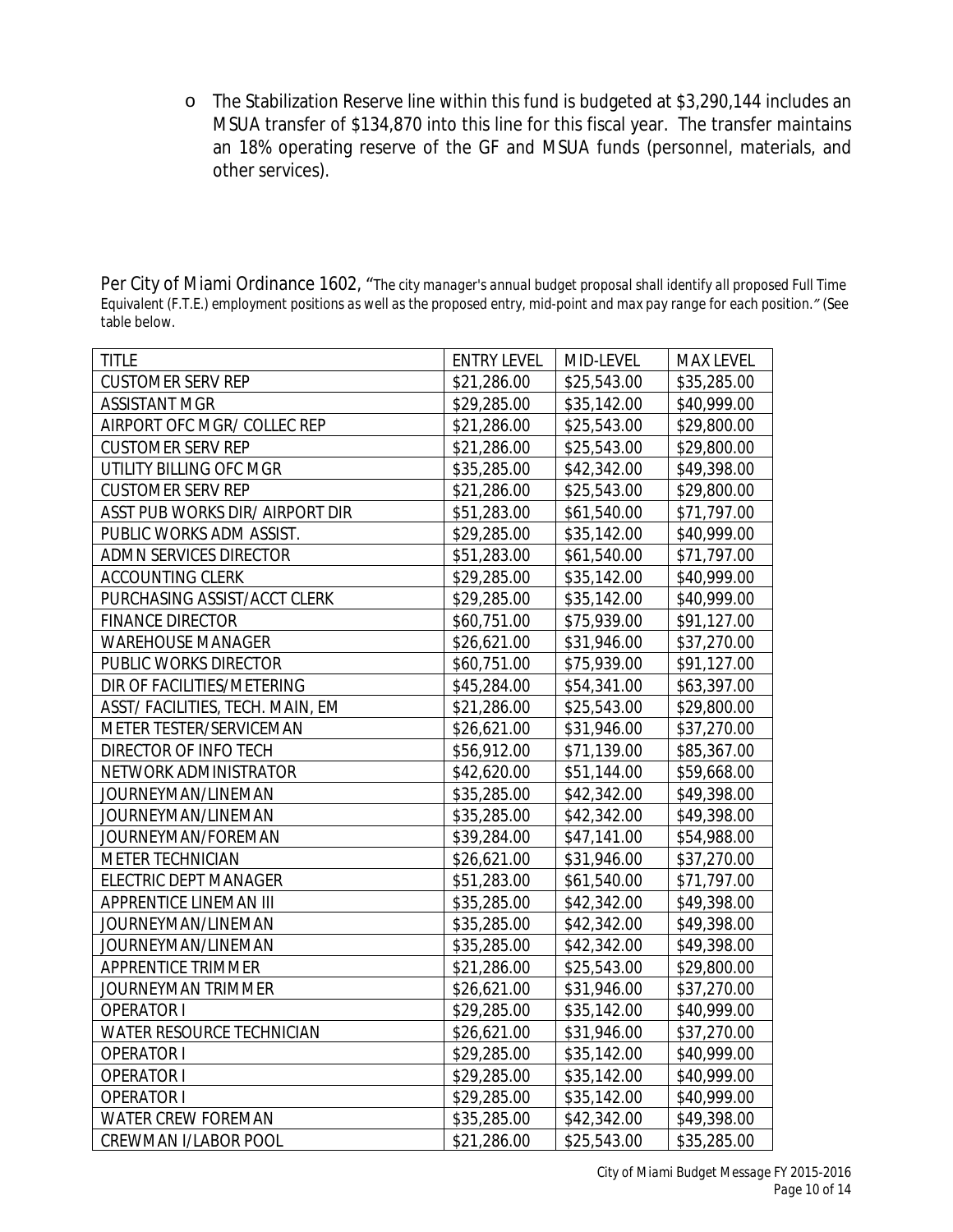o The Stabilization Reserve line within this fund is budgeted at \$3,290,144 includes an MSUA transfer of \$134,870 into this line for this fiscal year. The transfer maintains an 18% operating reserve of the GF and MSUA funds (personnel, materials, and other services).

| Per City of Miami Ordinance 1602, "The city manager's annual budget proposal shall identify all proposed Full Time           |
|------------------------------------------------------------------------------------------------------------------------------|
| Equivalent (F.T.E.) employment positions as well as the proposed entry, mid-point and max pay range for each position." (See |
| table below.                                                                                                                 |

| <b>TITLE</b>                     | <b>ENTRY LEVEL</b> | MID-LEVEL   | <b>MAX LEVEL</b> |
|----------------------------------|--------------------|-------------|------------------|
| <b>CUSTOMER SERV REP</b>         | \$21,286.00        | \$25,543.00 | \$35,285.00      |
| <b>ASSISTANT MGR</b>             | \$29,285.00        | \$35,142.00 | \$40,999.00      |
| AIRPORT OFC MGR/ COLLEC REP      | \$21,286.00        | \$25,543.00 | \$29,800.00      |
| <b>CUSTOMER SERV REP</b>         | \$21,286.00        | \$25,543.00 | \$29,800.00      |
| UTILITY BILLING OFC MGR          | \$35,285.00        | \$42,342.00 | \$49,398.00      |
| <b>CUSTOMER SERV REP</b>         | \$21,286.00        | \$25,543.00 | \$29,800.00      |
| ASST PUB WORKS DIR/ AIRPORT DIR  | \$51,283.00        | \$61,540.00 | \$71,797.00      |
| PUBLIC WORKS ADM ASSIST.         | \$29,285.00        | \$35,142.00 | \$40,999.00      |
| ADMN SERVICES DIRECTOR           | \$51,283.00        | \$61,540.00 | \$71,797.00      |
| ACCOUNTING CLERK                 | \$29,285.00        | \$35,142.00 | \$40,999.00      |
| PURCHASING ASSIST/ACCT CLERK     | \$29,285.00        | \$35,142.00 | \$40,999.00      |
| <b>FINANCE DIRECTOR</b>          | \$60,751.00        | \$75,939.00 | \$91,127.00      |
| <b>WAREHOUSE MANAGER</b>         | \$26,621.00        | \$31,946.00 | \$37,270.00      |
| PUBLIC WORKS DIRECTOR            | \$60,751.00        | \$75,939.00 | \$91,127.00      |
| DIR OF FACILITIES/METERING       | \$45,284.00        | \$54,341.00 | \$63,397.00      |
| ASST/ FACILITIES, TECH. MAIN, EM | \$21,286.00        | \$25,543.00 | \$29,800.00      |
| METER TESTER/SERVICEMAN          | \$26,621.00        | \$31,946.00 | \$37,270.00      |
| DIRECTOR OF INFO TECH            | \$56,912.00        | \$71,139.00 | \$85,367.00      |
| NETWORK ADMINISTRATOR            | \$42,620.00        | \$51,144.00 | \$59,668.00      |
| JOURNEYMAN/LINEMAN               | \$35,285.00        | \$42,342.00 | \$49,398.00      |
| JOURNEYMAN/LINEMAN               | \$35,285.00        | \$42,342.00 | \$49,398.00      |
| JOURNEYMAN/FOREMAN               | \$39,284.00        | \$47,141.00 | \$54,988.00      |
| METER TECHNICIAN                 | \$26,621.00        | \$31,946.00 | \$37,270.00      |
| ELECTRIC DEPT MANAGER            | \$51,283.00        | \$61,540.00 | \$71,797.00      |
| APPRENTICE LINEMAN III           | \$35,285.00        | \$42,342.00 | \$49,398.00      |
| JOURNEYMAN/LINEMAN               | \$35,285.00        | \$42,342.00 | \$49,398.00      |
| JOURNEYMAN/LINEMAN               | \$35,285.00        | \$42,342.00 | \$49,398.00      |
| APPRENTICE TRIMMER               | \$21,286.00        | \$25,543.00 | \$29,800.00      |
| JOURNEYMAN TRIMMER               | \$26,621.00        | \$31,946.00 | \$37,270.00      |
| <b>OPERATOR I</b>                | \$29,285.00        | \$35,142.00 | \$40,999.00      |
| WATER RESOURCE TECHNICIAN        | \$26,621.00        | \$31,946.00 | \$37,270.00      |
| <b>OPERATOR I</b>                | \$29,285.00        | \$35,142.00 | \$40,999.00      |
| <b>OPERATOR I</b>                | \$29,285.00        | \$35,142.00 | \$40,999.00      |
| <b>OPERATOR I</b>                | \$29,285.00        | \$35,142.00 | \$40,999.00      |
| WATER CREW FOREMAN               | \$35,285.00        | \$42,342.00 | \$49,398.00      |
| <b>CREWMAN I/LABOR POOL</b>      | \$21,286.00        | \$25,543.00 | \$35,285.00      |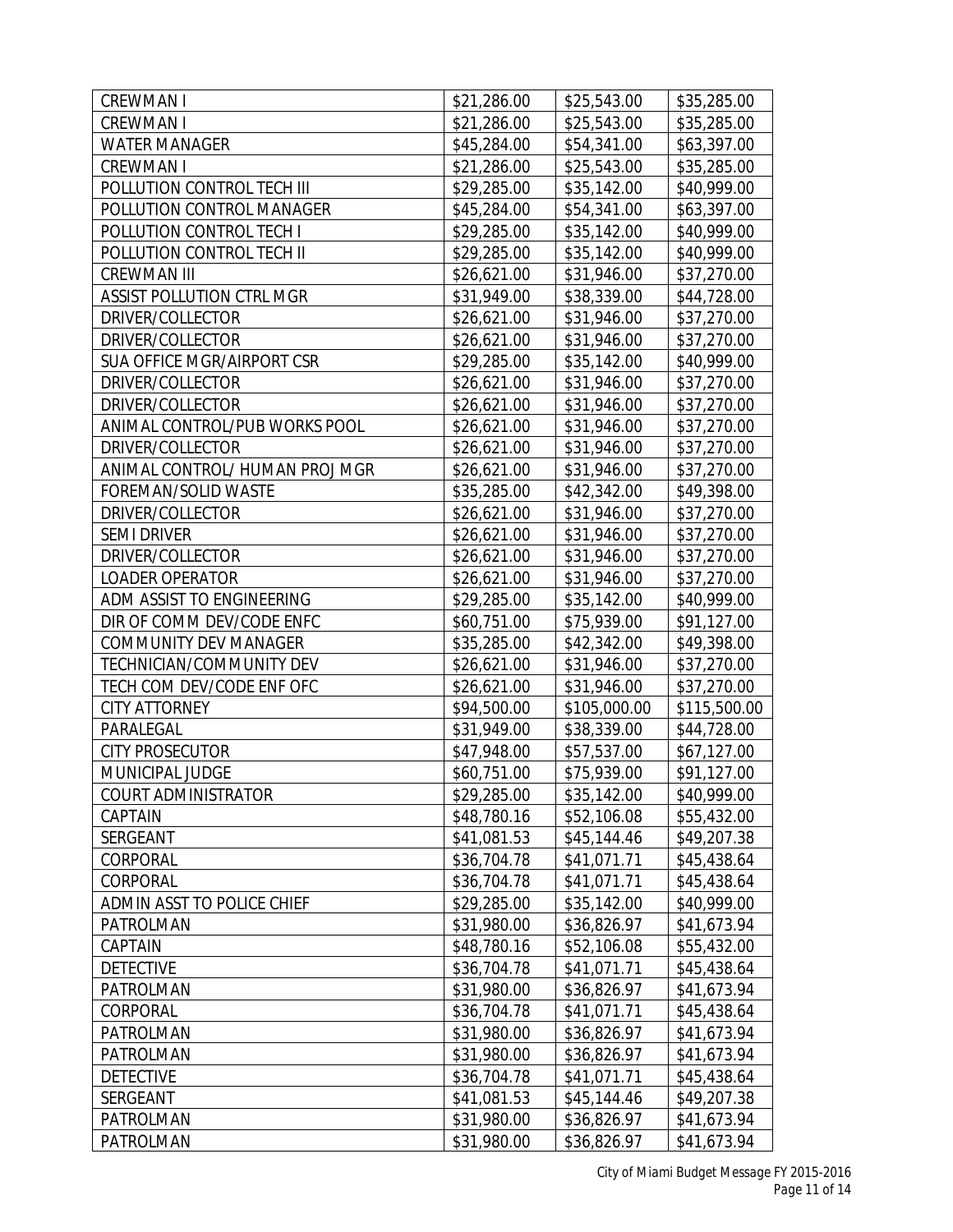| <b>CREWMAN I</b>               | \$21,286.00 | \$25,543.00  | \$35,285.00  |
|--------------------------------|-------------|--------------|--------------|
| <b>CREWMAN I</b>               | \$21,286.00 | \$25,543.00  | \$35,285.00  |
| <b>WATER MANAGER</b>           | \$45,284.00 | \$54,341.00  | \$63,397.00  |
| <b>CREWMAN I</b>               | \$21,286.00 | \$25,543.00  | \$35,285.00  |
| POLLUTION CONTROL TECH III     | \$29,285.00 | \$35,142.00  | \$40,999.00  |
| POLLUTION CONTROL MANAGER      | \$45,284.00 | \$54,341.00  | \$63,397.00  |
| POLLUTION CONTROL TECH I       | \$29,285.00 | \$35,142.00  | \$40,999.00  |
| POLLUTION CONTROL TECH II      | \$29,285.00 | \$35,142.00  | \$40,999.00  |
| <b>CREWMAN III</b>             | \$26,621.00 | \$31,946.00  | \$37,270.00  |
| ASSIST POLLUTION CTRL MGR      | \$31,949.00 | \$38,339.00  | \$44,728.00  |
| DRIVER/COLLECTOR               | \$26,621.00 | \$31,946.00  | \$37,270.00  |
| DRIVER/COLLECTOR               | \$26,621.00 | \$31,946.00  | \$37,270.00  |
| SUA OFFICE MGR/AIRPORT CSR     | \$29,285.00 | \$35,142.00  | \$40,999.00  |
| DRIVER/COLLECTOR               | \$26,621.00 | \$31,946.00  | \$37,270.00  |
| DRIVER/COLLECTOR               | \$26,621.00 | \$31,946.00  | \$37,270.00  |
| ANIMAL CONTROL/PUB WORKS POOL  | \$26,621.00 | \$31,946.00  | \$37,270.00  |
| DRIVER/COLLECTOR               | \$26,621.00 | \$31,946.00  | \$37,270.00  |
| ANIMAL CONTROL/ HUMAN PROJ MGR | \$26,621.00 | \$31,946.00  | \$37,270.00  |
| FOREMAN/SOLID WASTE            | \$35,285.00 | \$42,342.00  | \$49,398.00  |
| DRIVER/COLLECTOR               | \$26,621.00 | \$31,946.00  | \$37,270.00  |
| <b>SEMI DRIVER</b>             | \$26,621.00 | \$31,946.00  | \$37,270.00  |
| DRIVER/COLLECTOR               | \$26,621.00 | \$31,946.00  | \$37,270.00  |
| <b>LOADER OPERATOR</b>         | \$26,621.00 | \$31,946.00  | \$37,270.00  |
| ADM ASSIST TO ENGINEERING      | \$29,285.00 | \$35,142.00  | \$40,999.00  |
| DIR OF COMM DEV/CODE ENFC      | \$60,751.00 | \$75,939.00  | \$91,127.00  |
| COMMUNITY DEV MANAGER          | \$35,285.00 | \$42,342.00  | \$49,398.00  |
| TECHNICIAN/COMMUNITY DEV       | \$26,621.00 | \$31,946.00  | \$37,270.00  |
| TECH COM DEV/CODE ENF OFC      | \$26,621.00 | \$31,946.00  | \$37,270.00  |
| <b>CITY ATTORNEY</b>           | \$94,500.00 | \$105,000.00 | \$115,500.00 |
| PARALEGAL                      | \$31,949.00 | \$38,339.00  | \$44,728.00  |
| <b>CITY PROSECUTOR</b>         | \$47,948.00 | \$57,537.00  | \$67,127.00  |
| MUNICIPAL JUDGE                | \$60,751.00 | \$75,939.00  | \$91,127.00  |
| COURT ADMINISTRATOR            | \$29,285.00 | \$35,142.00  | \$40,999.00  |
| CAPTAIN                        | \$48,780.16 | \$52,106.08  | \$55,432.00  |
| SERGEANT                       | \$41,081.53 | \$45,144.46  | \$49,207.38  |
| CORPORAL                       | \$36,704.78 | \$41,071.71  | \$45,438.64  |
| CORPORAL                       | \$36,704.78 | \$41,071.71  | \$45,438.64  |
| ADMIN ASST TO POLICE CHIEF     | \$29,285.00 | \$35,142.00  | \$40,999.00  |
| PATROLMAN                      | \$31,980.00 | \$36,826.97  | \$41,673.94  |
| CAPTAIN                        | \$48,780.16 | \$52,106.08  | \$55,432.00  |
| <b>DETECTIVE</b>               | \$36,704.78 | \$41,071.71  | \$45,438.64  |
| PATROLMAN                      | \$31,980.00 | \$36,826.97  | \$41,673.94  |
| CORPORAL                       | \$36,704.78 | \$41,071.71  | \$45,438.64  |
| PATROLMAN                      | \$31,980.00 | \$36,826.97  | \$41,673.94  |
| PATROLMAN                      | \$31,980.00 | \$36,826.97  | \$41,673.94  |
| <b>DETECTIVE</b>               | \$36,704.78 | \$41,071.71  | \$45,438.64  |
| SERGEANT                       | \$41,081.53 | \$45,144.46  | \$49,207.38  |
| PATROLMAN                      | \$31,980.00 | \$36,826.97  | \$41,673.94  |
| PATROLMAN                      | \$31,980.00 | \$36,826.97  | \$41,673.94  |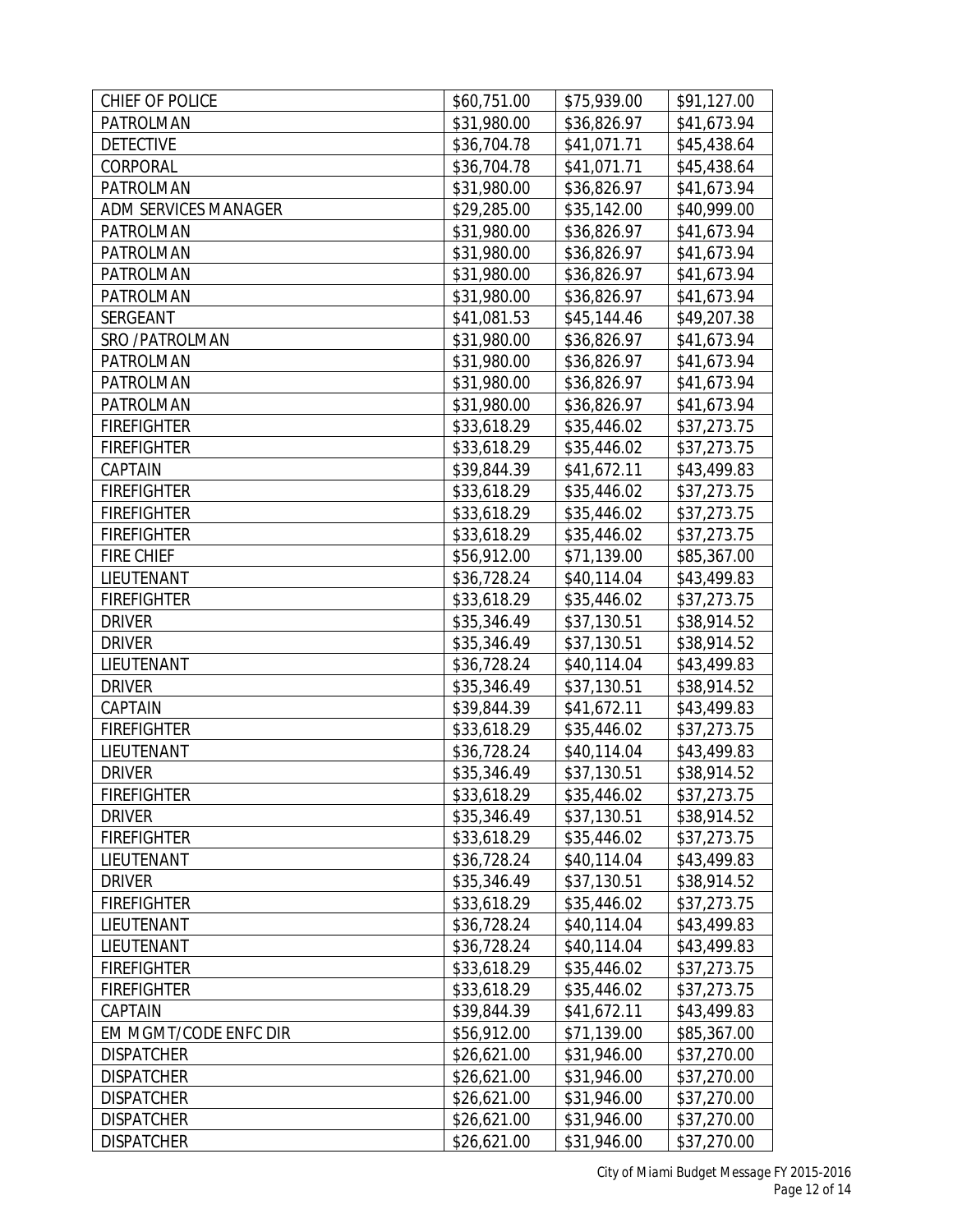| CHIEF OF POLICE       | \$60,751.00 | \$75,939.00 | \$91,127.00 |
|-----------------------|-------------|-------------|-------------|
| PATROLMAN             | \$31,980.00 | \$36,826.97 | \$41,673.94 |
| <b>DETECTIVE</b>      | \$36,704.78 | \$41,071.71 | \$45,438.64 |
| CORPORAL              | \$36,704.78 | \$41,071.71 | \$45,438.64 |
| PATROLMAN             | \$31,980.00 | \$36,826.97 | \$41,673.94 |
| ADM SERVICES MANAGER  | \$29,285.00 | \$35,142.00 | \$40,999.00 |
| PATROLMAN             | \$31,980.00 | \$36,826.97 | \$41,673.94 |
| PATROLMAN             | \$31,980.00 | \$36,826.97 | \$41,673.94 |
| PATROLMAN             | \$31,980.00 | \$36,826.97 | \$41,673.94 |
| PATROLMAN             | \$31,980.00 | \$36,826.97 | \$41,673.94 |
| SERGEANT              | \$41,081.53 | \$45,144.46 | \$49,207.38 |
| SRO / PATROLMAN       | \$31,980.00 | \$36,826.97 | \$41,673.94 |
| PATROLMAN             | \$31,980.00 | \$36,826.97 | \$41,673.94 |
| PATROLMAN             | \$31,980.00 | \$36,826.97 | \$41,673.94 |
| PATROLMAN             | \$31,980.00 | \$36,826.97 | \$41,673.94 |
| <b>FIREFIGHTER</b>    | \$33,618.29 | \$35,446.02 | \$37,273.75 |
| <b>FIREFIGHTER</b>    | \$33,618.29 | \$35,446.02 | \$37,273.75 |
| CAPTAIN               | \$39,844.39 | \$41,672.11 | \$43,499.83 |
| <b>FIREFIGHTER</b>    | \$33,618.29 | \$35,446.02 | \$37,273.75 |
| <b>FIREFIGHTER</b>    | \$33,618.29 | \$35,446.02 | \$37,273.75 |
| <b>FIREFIGHTER</b>    | \$33,618.29 | \$35,446.02 | \$37,273.75 |
| <b>FIRE CHIEF</b>     | \$56,912.00 | \$71,139.00 | \$85,367.00 |
| LIEUTENANT            | \$36,728.24 | \$40,114.04 | \$43,499.83 |
| <b>FIREFIGHTER</b>    | \$33,618.29 | \$35,446.02 | \$37,273.75 |
| <b>DRIVER</b>         | \$35,346.49 | \$37,130.51 | \$38,914.52 |
| <b>DRIVER</b>         | \$35,346.49 | \$37,130.51 | \$38,914.52 |
| LIEUTENANT            | \$36,728.24 | \$40,114.04 | \$43,499.83 |
| <b>DRIVER</b>         | \$35,346.49 | \$37,130.51 | \$38,914.52 |
| CAPTAIN               | \$39,844.39 | \$41,672.11 | \$43,499.83 |
| <b>FIREFIGHTER</b>    | \$33,618.29 | \$35,446.02 | \$37,273.75 |
| LIEUTENANT            | \$36,728.24 | \$40,114.04 | \$43,499.83 |
| <b>DRIVER</b>         | \$35,346.49 | \$37,130.51 | \$38,914.52 |
| <b>FIREFIGHTER</b>    | \$33,618.29 | \$35,446.02 | \$37,273.75 |
| <b>DRIVER</b>         | \$35,346.49 | \$37,130.51 | \$38,914.52 |
| <b>FIREFIGHTER</b>    | \$33,618.29 | \$35,446.02 | \$37,273.75 |
| LIEUTENANT            | \$36,728.24 | \$40,114.04 | \$43,499.83 |
| <b>DRIVER</b>         | \$35,346.49 | \$37,130.51 | \$38,914.52 |
| <b>FIREFIGHTER</b>    | \$33,618.29 | \$35,446.02 | \$37,273.75 |
| LIEUTENANT            | \$36,728.24 | \$40,114.04 | \$43,499.83 |
| LIEUTENANT            | \$36,728.24 | \$40,114.04 | \$43,499.83 |
| <b>FIREFIGHTER</b>    | \$33,618.29 | \$35,446.02 | \$37,273.75 |
| <b>FIREFIGHTER</b>    | \$33,618.29 | \$35,446.02 | \$37,273.75 |
| CAPTAIN               | \$39,844.39 | \$41,672.11 | \$43,499.83 |
| EM MGMT/CODE ENFC DIR | \$56,912.00 | \$71,139.00 | \$85,367.00 |
| <b>DISPATCHER</b>     | \$26,621.00 | \$31,946.00 | \$37,270.00 |
| <b>DISPATCHER</b>     | \$26,621.00 | \$31,946.00 | \$37,270.00 |
| <b>DISPATCHER</b>     | \$26,621.00 | \$31,946.00 | \$37,270.00 |
| <b>DISPATCHER</b>     | \$26,621.00 | \$31,946.00 | \$37,270.00 |
| <b>DISPATCHER</b>     | \$26,621.00 | \$31,946.00 | \$37,270.00 |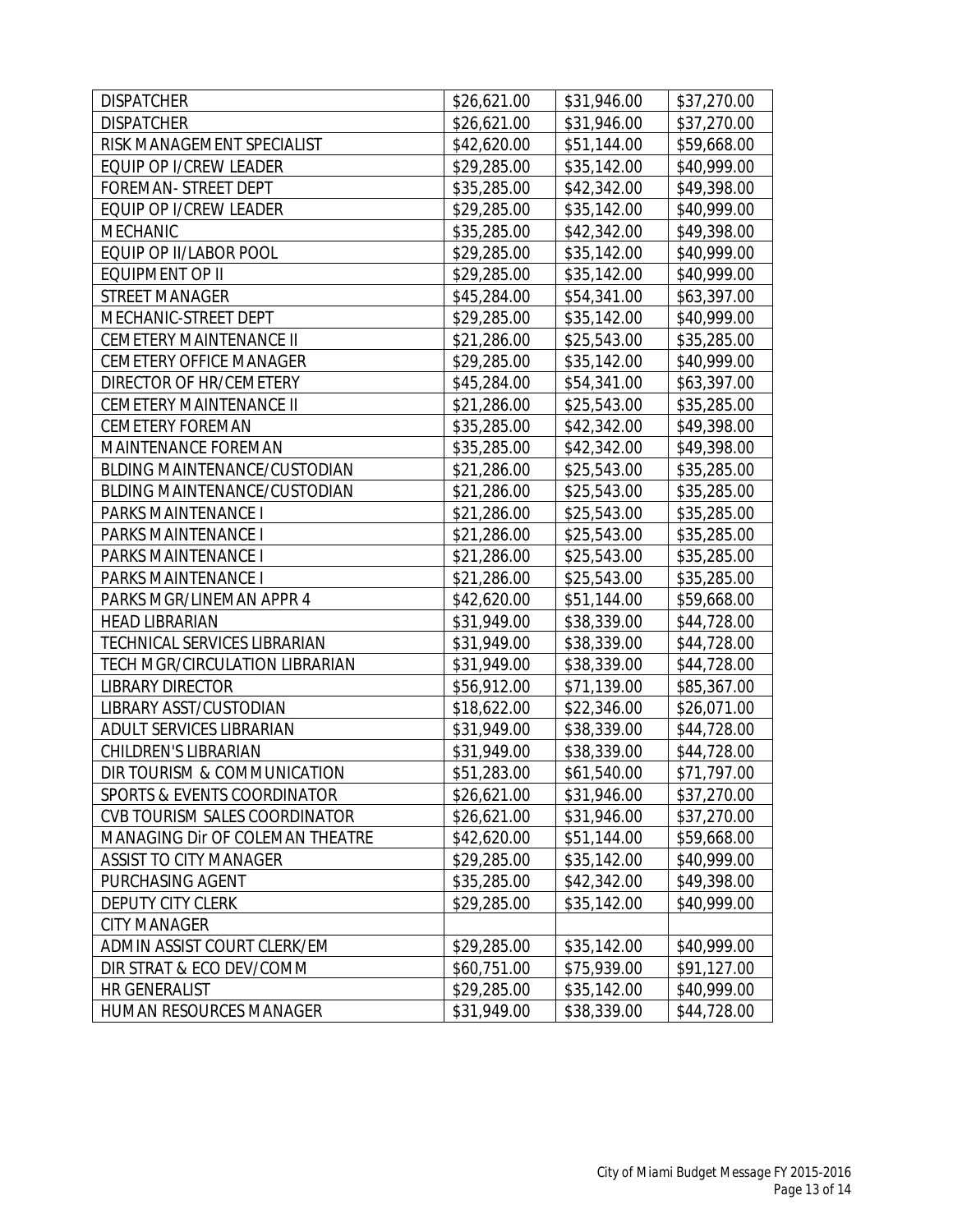| <b>DISPATCHER</b>               | \$26,621.00 | \$31,946.00 | \$37,270.00 |
|---------------------------------|-------------|-------------|-------------|
| <b>DISPATCHER</b>               | \$26,621.00 | \$31,946.00 | \$37,270.00 |
| RISK MANAGEMENT SPECIALIST      | \$42,620.00 | \$51,144.00 | \$59,668.00 |
| EQUIP OP I/CREW LEADER          | \$29,285.00 | \$35,142.00 | \$40,999.00 |
| FOREMAN- STREET DEPT            | \$35,285.00 | \$42,342.00 | \$49,398.00 |
| EQUIP OP I/CREW LEADER          | \$29,285.00 | \$35,142.00 | \$40,999.00 |
| MECHANIC                        | \$35,285.00 | \$42,342.00 | \$49,398.00 |
| EQUIP OP II/LABOR POOL          | \$29,285.00 | \$35,142.00 | \$40,999.00 |
| <b>EQUIPMENT OP II</b>          | \$29,285.00 | \$35,142.00 | \$40,999.00 |
| <b>STREET MANAGER</b>           | \$45,284.00 | \$54,341.00 | \$63,397.00 |
| MECHANIC-STREET DEPT            | \$29,285.00 | \$35,142.00 | \$40,999.00 |
| <b>CEMETERY MAINTENANCE II</b>  | \$21,286.00 | \$25,543.00 | \$35,285.00 |
| <b>CEMETERY OFFICE MANAGER</b>  | \$29,285.00 | \$35,142.00 | \$40,999.00 |
| DIRECTOR OF HR/CEMETERY         | \$45,284.00 | \$54,341.00 | \$63,397.00 |
| <b>CEMETERY MAINTENANCE II</b>  | \$21,286.00 | \$25,543.00 | \$35,285.00 |
| <b>CEMETERY FOREMAN</b>         | \$35,285.00 | \$42,342.00 | \$49,398.00 |
| MAINTENANCE FOREMAN             | \$35,285.00 | \$42,342.00 | \$49,398.00 |
| BLDING MAINTENANCE/CUSTODIAN    | \$21,286.00 | \$25,543.00 | \$35,285.00 |
| BLDING MAINTENANCE/CUSTODIAN    | \$21,286.00 | \$25,543.00 | \$35,285.00 |
| PARKS MAINTENANCE I             | \$21,286.00 | \$25,543.00 | \$35,285.00 |
| PARKS MAINTENANCE I             | \$21,286.00 | \$25,543.00 | \$35,285.00 |
| PARKS MAINTENANCE I             | \$21,286.00 | \$25,543.00 | \$35,285.00 |
| PARKS MAINTENANCE I             | \$21,286.00 | \$25,543.00 | \$35,285.00 |
| PARKS MGR/LINEMAN APPR 4        | \$42,620.00 | \$51,144.00 | \$59,668.00 |
| <b>HEAD LIBRARIAN</b>           | \$31,949.00 | \$38,339.00 | \$44,728.00 |
| TECHNICAL SERVICES LIBRARIAN    | \$31,949.00 | \$38,339.00 | \$44,728.00 |
| TECH MGR/CIRCULATION LIBRARIAN  | \$31,949.00 | \$38,339.00 | \$44,728.00 |
| <b>LIBRARY DIRECTOR</b>         | \$56,912.00 | \$71,139.00 | \$85,367.00 |
| LIBRARY ASST/CUSTODIAN          | \$18,622.00 | \$22,346.00 | \$26,071.00 |
| ADULT SERVICES LIBRARIAN        | \$31,949.00 | \$38,339.00 | \$44,728.00 |
| <b>CHILDREN'S LIBRARIAN</b>     | \$31,949.00 | \$38,339.00 | \$44,728.00 |
| DIR TOURISM & COMMUNICATION     | \$51,283.00 | \$61,540.00 | \$71,797.00 |
| SPORTS & EVENTS COORDINATOR     | \$26,621.00 | \$31,946.00 | \$37,270.00 |
| CVB TOURISM SALES COORDINATOR   | \$26,621.00 | \$31,946.00 | \$37,270.00 |
| MANAGING Dir OF COLEMAN THEATRE | \$42,620.00 | \$51,144.00 | \$59,668.00 |
| ASSIST TO CITY MANAGER          | \$29,285.00 | \$35,142.00 | \$40,999.00 |
| PURCHASING AGENT                | \$35,285.00 | \$42,342.00 | \$49,398.00 |
| <b>DEPUTY CITY CLERK</b>        | \$29,285.00 | \$35,142.00 | \$40,999.00 |
| <b>CITY MANAGER</b>             |             |             |             |
| ADMIN ASSIST COURT CLERK/EM     | \$29,285.00 | \$35,142.00 | \$40,999.00 |
| DIR STRAT & ECO DEV/COMM        | \$60,751.00 | \$75,939.00 | \$91,127.00 |
| HR GENERALIST                   | \$29,285.00 | \$35,142.00 | \$40,999.00 |
| HUMAN RESOURCES MANAGER         | \$31,949.00 | \$38,339.00 | \$44,728.00 |